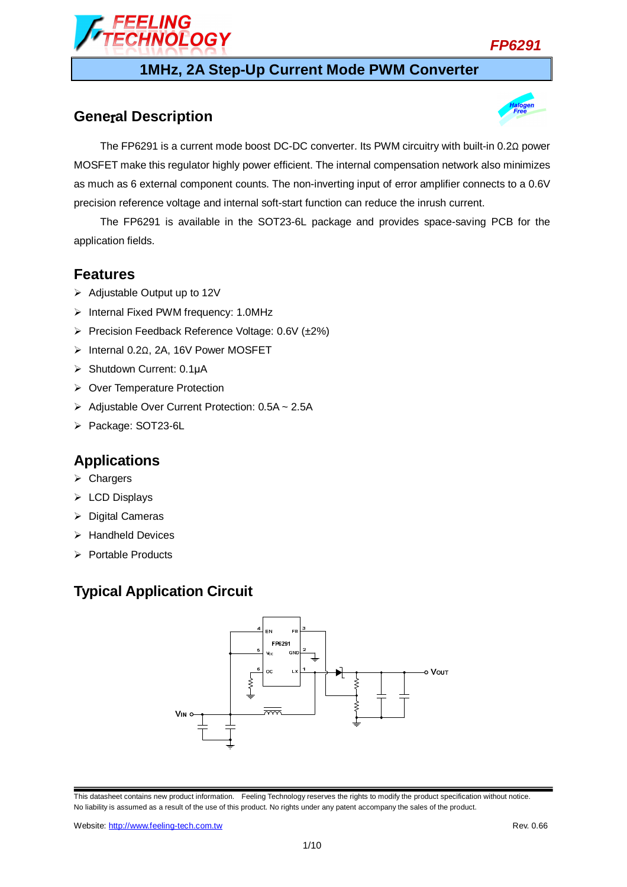

## **1MHz, 2A Step-Up Current Mode PWM Converter**

## **Gene**r**al Description**



The FP6291 is a current mode boost DC-DC converter. Its PWM circuitry with built-in 0.2Ω power MOSFET make this regulator highly power efficient. The internal compensation network also minimizes as much as 6 external component counts. The non-inverting input of error amplifier connects to a 0.6V precision reference voltage and internal soft-start function can reduce the inrush current.

The FP6291 is available in the SOT23-6L package and provides space-saving PCB for the application fields.

### **Features**

- $\triangleright$  Adjustable Output up to 12V
- $\triangleright$  Internal Fixed PWM frequency: 1.0MHz
- Precision Feedback Reference Voltage: 0.6V (±2%)

**IOLOGY** 

- Internal 0.2Ω, 2A, 16V Power MOSFET
- ▶ Shutdown Current: 0.1µA
- ▶ Over Temperature Protection
- > Adjustable Over Current Protection: 0.5A ~ 2.5A
- Package: SOT23-6L

## **Applications**

- $\triangleright$  Chargers
- $\triangleright$  LCD Displays
- $\triangleright$  Digital Cameras
- $\triangleright$  Handheld Devices
- $\triangleright$  Portable Products

## **Typical Application Circuit**

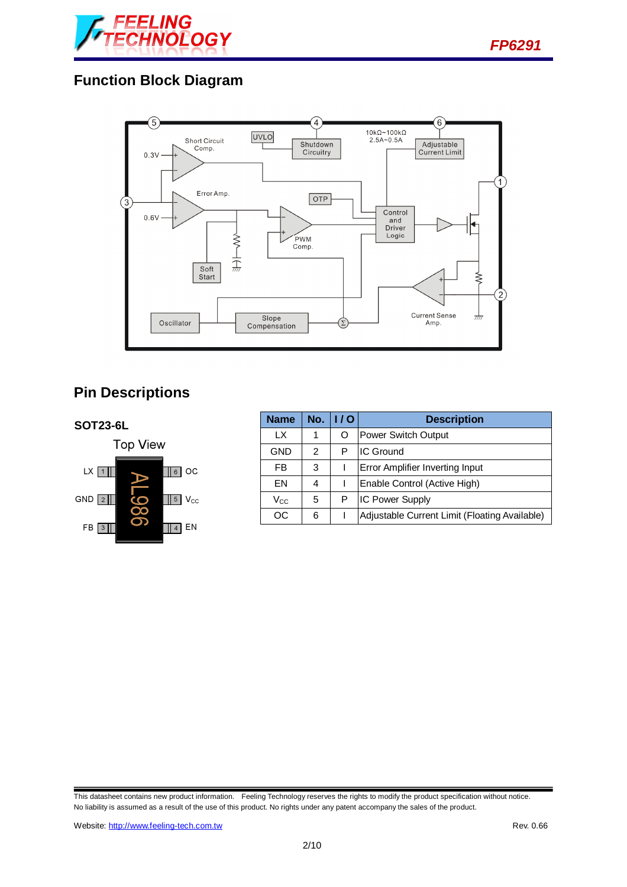

## **Function Block Diagram**



# **Pin Descriptions**



| <b>Name</b>  | No. | 1/0 | <b>Description</b>                            |  |
|--------------|-----|-----|-----------------------------------------------|--|
| LХ           |     |     | <b>Power Switch Output</b>                    |  |
| GND          | 2   | Р   | <b>IC Ground</b>                              |  |
| FB           | 3   |     | Error Amplifier Inverting Input               |  |
| FΝ           | 4   |     | Enable Control (Active High)                  |  |
| $\rm V_{CC}$ | 5   | Р   | <b>IC Power Supply</b>                        |  |
| OС           | 6   |     | Adjustable Current Limit (Floating Available) |  |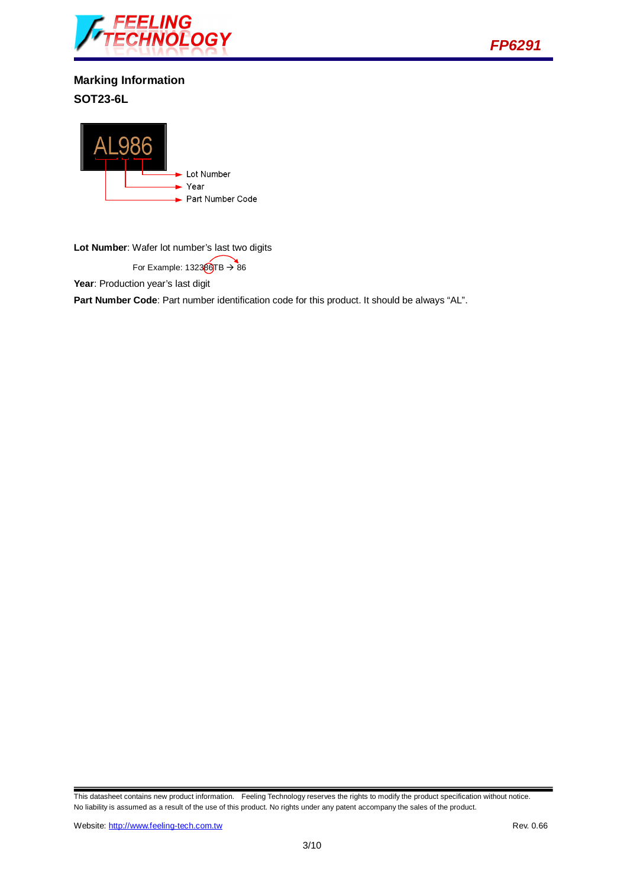



**Marking Information SOT23-6L** 



**Lot Number**: Wafer lot number's last two digits

For Example:  $132360TB \rightarrow 86$ 

Year: Production year's last digit

**Part Number Code**: Part number identification code for this product. It should be always "AL".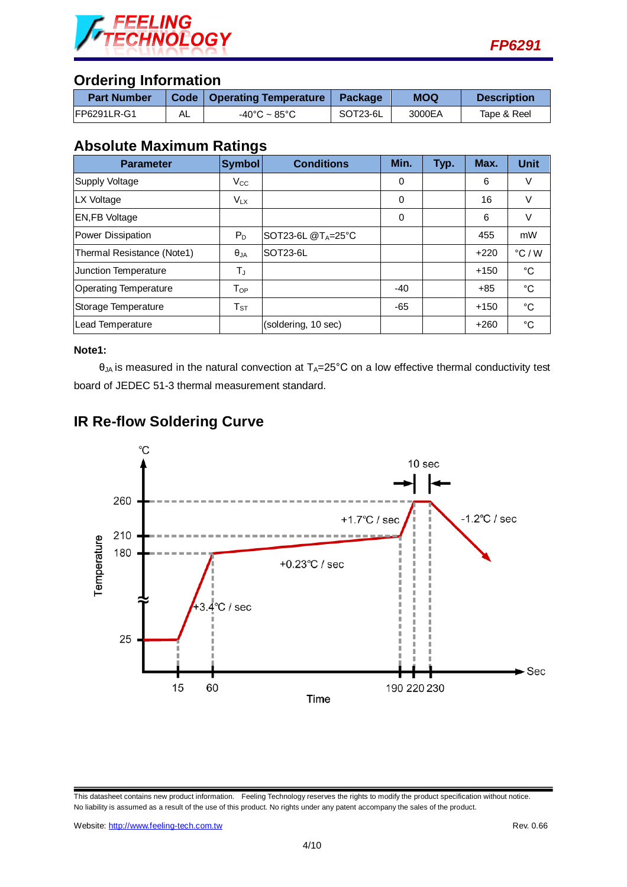

## **Ordering Information**

| <b>Part Number</b>  |    | Code   Operating Temperature | Package  | <b>MOQ</b> | <b>Description</b> |
|---------------------|----|------------------------------|----------|------------|--------------------|
| <b>IFP6291LR-G1</b> | AL | -40°C ~ 85°C                 | SOT23-6L | 3000EA     | Tape & Reel        |

## **Absolute Maximum Ratings**

| <b>Parameter</b>             | <b>Symbol</b> | <b>Conditions</b>              | Min.  | Typ. | Max.   | <b>Unit</b>     |
|------------------------------|---------------|--------------------------------|-------|------|--------|-----------------|
| Supply Voltage               | $V_{\rm CC}$  |                                | 0     |      | 6      | V               |
| LX Voltage                   | $V_{LX}$      |                                | 0     |      | 16     | V               |
| <b>EN,FB Voltage</b>         |               |                                | 0     |      | 6      | V               |
| Power Dissipation            | $P_D$         | SOT23-6L @T <sub>A=25</sub> °C |       |      | 455    | mW              |
| Thermal Resistance (Note1)   | $\theta_{JA}$ | SOT23-6L                       |       |      | $+220$ | $\degree$ C / W |
| Junction Temperature         | T」            |                                |       |      | $+150$ | °C              |
| <b>Operating Temperature</b> | $T_{OP}$      |                                | $-40$ |      | $+85$  | °C              |
| Storage Temperature          | $T_{ST}$      |                                | -65   |      | $+150$ | °C              |
| Lead Temperature             |               | (soldering, 10 sec)            |       |      | $+260$ | °C              |

#### **Note1:**

 $\theta_{JA}$  is measured in the natural convection at  $T_A=25^{\circ}C$  on a low effective thermal conductivity test board of JEDEC 51-3 thermal measurement standard.





This datasheet contains new product information. Feeling Technology reserves the rights to modify the product specification without notice. No liability is assumed as a result of the use of this product. No rights under any patent accompany the sales of the product.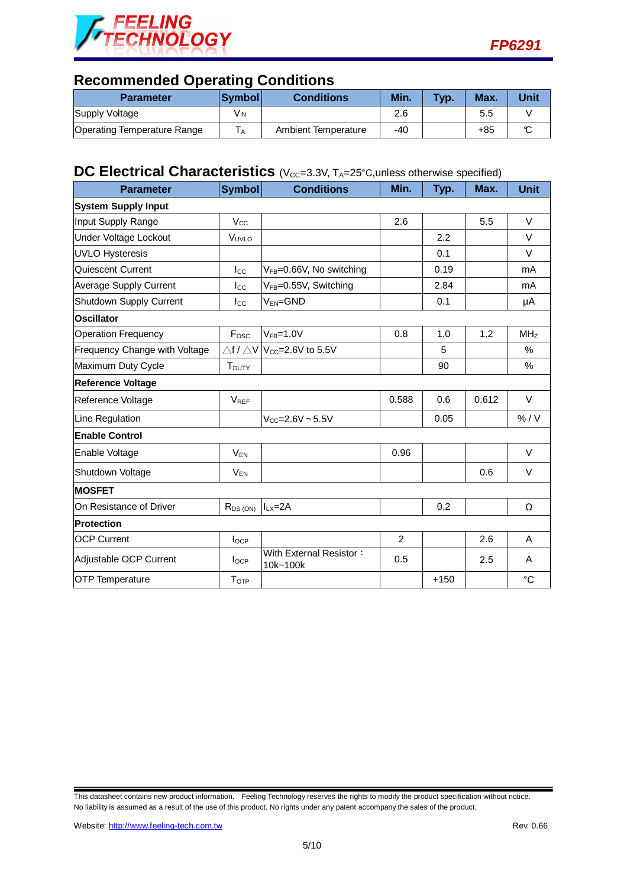



## **Recommended Operating Conditions**

| <b>Parameter</b>                   | <b>Symbol</b> | <b>Conditions</b>   | Min.  | Typ. | Max. | Unit |
|------------------------------------|---------------|---------------------|-------|------|------|------|
| Supply Voltage                     | Vin           |                     | 2.6   |      | 5.5  |      |
| <b>Operating Temperature Range</b> |               | Ambient Temperature | $-40$ |      | +85  |      |

# **DC Electrical Characteristics** (V<sub>CC</sub>=3.3V, T<sub>A</sub>=25°C, unless otherwise specified)

| <b>Parameter</b>              | <b>Symbol</b>            | <b>Conditions</b>                                     | Min.           | Typ.   | Max.  | <b>Unit</b>     |  |
|-------------------------------|--------------------------|-------------------------------------------------------|----------------|--------|-------|-----------------|--|
| <b>System Supply Input</b>    |                          |                                                       |                |        |       |                 |  |
| Input Supply Range            | $V_{\rm CC}$             |                                                       | 2.6            |        | 5.5   | $\vee$          |  |
| Under Voltage Lockout         | VUVLO                    |                                                       |                | 2.2    |       | $\vee$          |  |
| <b>UVLO Hysteresis</b>        |                          |                                                       |                | 0.1    |       | $\vee$          |  |
| Quiescent Current             | $_{\rm lcc}$             | V <sub>FB</sub> =0.66V, No switching                  |                | 0.19   |       | mA              |  |
| <b>Average Supply Current</b> | $_{\rm lcc}$             | V <sub>FB</sub> =0.55V, Switching                     |                | 2.84   |       | mA              |  |
| Shutdown Supply Current       | $I_{\rm CC}$             | $V_{EN} = GND$                                        |                | 0.1    |       | μA              |  |
| <b>Oscillator</b>             |                          |                                                       |                |        |       |                 |  |
| <b>Operation Frequency</b>    | $F_{\rm osc}$            | $V_{FB} = 1.0V$                                       | 0.8            | 1.0    | 1.2   | MH <sub>Z</sub> |  |
| Frequency Change with Voltage |                          | $\triangle$ f / $\triangle$ V $ V_{CC}=$ 2.6V to 5.5V |                | 5      |       | %               |  |
| Maximum Duty Cycle            | <b>T</b> <sub>DUTY</sub> |                                                       |                | 90     |       | %               |  |
| <b>Reference Voltage</b>      |                          |                                                       |                |        |       |                 |  |
| Reference Voltage             | $V_{REF}$                |                                                       | 0.588          | 0.6    | 0.612 | $\vee$          |  |
| Line Regulation               |                          | $V_{CC} = 2.6V - 5.5V$                                |                | 0.05   |       | % / V           |  |
| <b>Enable Control</b>         |                          |                                                       |                |        |       |                 |  |
| Enable Voltage                | $V_{EN}$                 |                                                       | 0.96           |        |       | $\vee$          |  |
| Shutdown Voltage              | $V_{EN}$                 |                                                       |                |        | 0.6   | $\vee$          |  |
| <b>MOSFET</b>                 |                          |                                                       |                |        |       |                 |  |
| On Resistance of Driver       | $R_{DS(ON)}$             | $ILX=2A$                                              |                | 0.2    |       | Ω               |  |
| <b>Protection</b>             |                          |                                                       |                |        |       |                 |  |
| <b>OCP Current</b>            | $I_{OCP}$                |                                                       | $\overline{2}$ |        | 2.6   | A               |  |
| Adjustable OCP Current        | $I_{OCP}$                | With External Resistor:<br>10k~100k                   | 0.5            |        | 2.5   | A               |  |
| <b>OTP Temperature</b>        | T <sub>OTP</sub>         |                                                       |                | $+150$ |       | $^{\circ}C$     |  |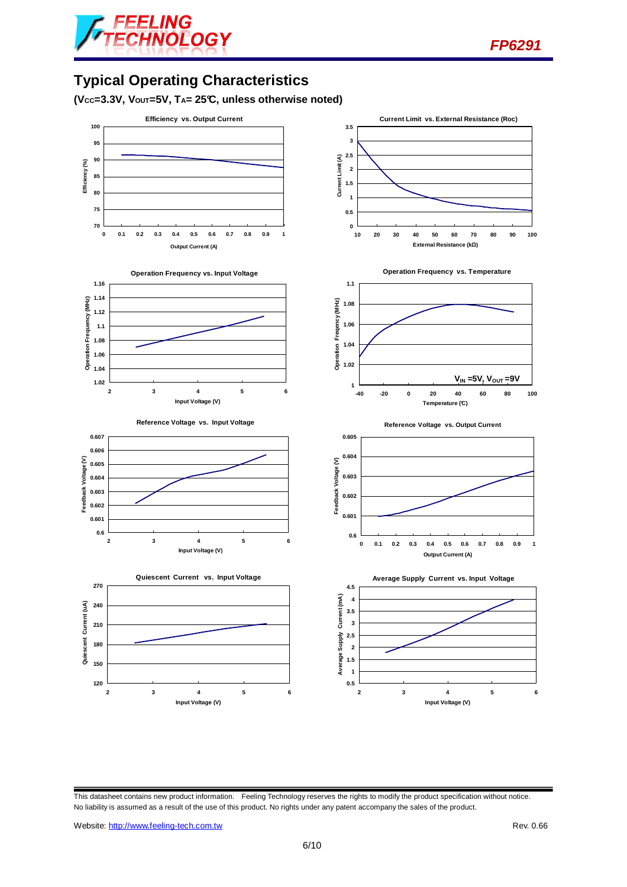

# **Typical Operating Characteristics**

**(VCC=3.3V, VOUT=5V, TA= 25°C, unless otherwise noted)** 

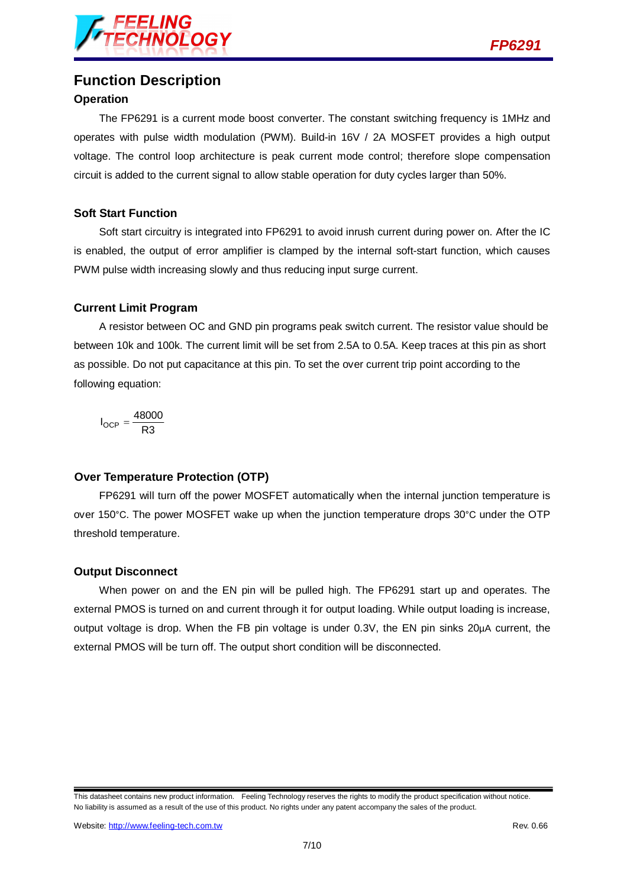

## **Function Description**

#### **Operation**

The FP6291 is a current mode boost converter. The constant switching frequency is 1MHz and operates with pulse width modulation (PWM). Build-in 16V / 2A MOSFET provides a high output voltage. The control loop architecture is peak current mode control; therefore slope compensation circuit is added to the current signal to allow stable operation for duty cycles larger than 50%.

#### **Soft Start Function**

Soft start circuitry is integrated into FP6291 to avoid inrush current during power on. After the IC is enabled, the output of error amplifier is clamped by the internal soft-start function, which causes PWM pulse width increasing slowly and thus reducing input surge current.

#### **Current Limit Program**

A resistor between OC and GND pin programs peak switch current. The resistor value should be between 10k and 100k. The current limit will be set from 2.5A to 0.5A. Keep traces at this pin as short as possible. Do not put capacitance at this pin. To set the over current trip point according to the following equation:

$$
I_{OCP} = \frac{48000}{R3}
$$

#### **Over Temperature Protection (OTP)**

FP6291 will turn off the power MOSFET automatically when the internal junction temperature is over 150°C. The power MOSFET wake up when the junction temperature drops 30°C under the OTP threshold temperature.

#### **Output Disconnect**

When power on and the EN pin will be pulled high. The FP6291 start up and operates. The external PMOS is turned on and current through it for output loading. While output loading is increase, output voltage is drop. When the FB pin voltage is under 0.3V, the EN pin sinks 20µA current, the external PMOS will be turn off. The output short condition will be disconnected.

This datasheet contains new product information. Feeling Technology reserves the rights to modify the product specification without notice. No liability is assumed as a result of the use of this product. No rights under any patent accompany the sales of the product.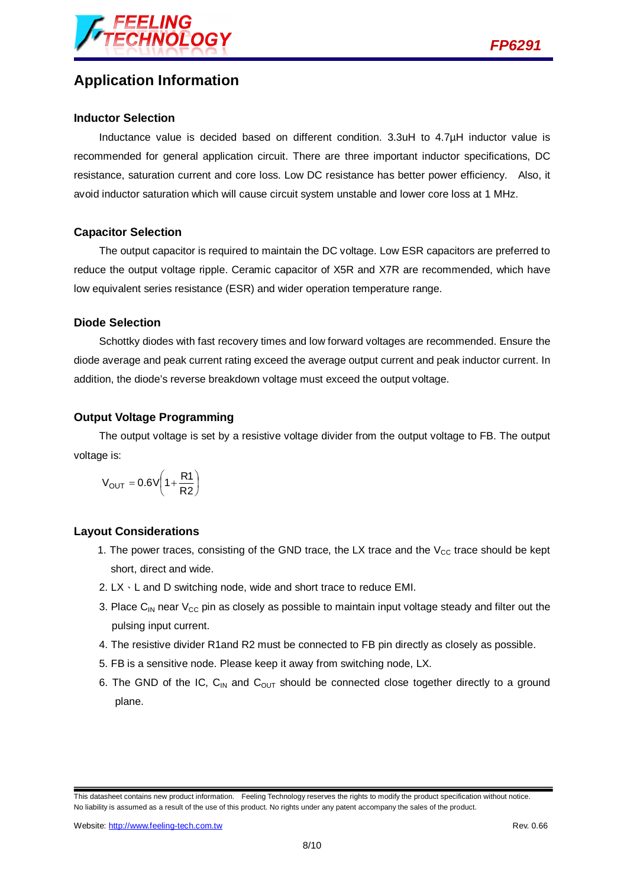



## **Application Information**

#### **Inductor Selection**

Inductance value is decided based on different condition. 3.3uH to 4.7µH inductor value is recommended for general application circuit. There are three important inductor specifications, DC resistance, saturation current and core loss. Low DC resistance has better power efficiency. Also, it avoid inductor saturation which will cause circuit system unstable and lower core loss at 1 MHz.

#### **Capacitor Selection**

The output capacitor is required to maintain the DC voltage. Low ESR capacitors are preferred to reduce the output voltage ripple. Ceramic capacitor of X5R and X7R are recommended, which have low equivalent series resistance (ESR) and wider operation temperature range.

#### **Diode Selection**

Schottky diodes with fast recovery times and low forward voltages are recommended. Ensure the diode average and peak current rating exceed the average output current and peak inductor current. In addition, the diode's reverse breakdown voltage must exceed the output voltage.

#### **Output Voltage Programming**

The output voltage is set by a resistive voltage divider from the output voltage to FB. The output voltage is:

$$
V_{OUT} = 0.6V \left(1 + \frac{R1}{R2}\right)
$$

#### **Layout Considerations**

- 1. The power traces, consisting of the GND trace, the LX trace and the  $V_{CC}$  trace should be kept short, direct and wide.
- 2. LX、L and D switching node, wide and short trace to reduce EMI.
- 3. Place C<sub>IN</sub> near  $V_{CC}$  pin as closely as possible to maintain input voltage steady and filter out the pulsing input current.
- 4. The resistive divider R1and R2 must be connected to FB pin directly as closely as possible.
- 5. FB is a sensitive node. Please keep it away from switching node, LX.
- 6. The GND of the IC,  $C_{IN}$  and  $C_{OUT}$  should be connected close together directly to a ground plane.

This datasheet contains new product information. Feeling Technology reserves the rights to modify the product specification without notice. No liability is assumed as a result of the use of this product. No rights under any patent accompany the sales of the product.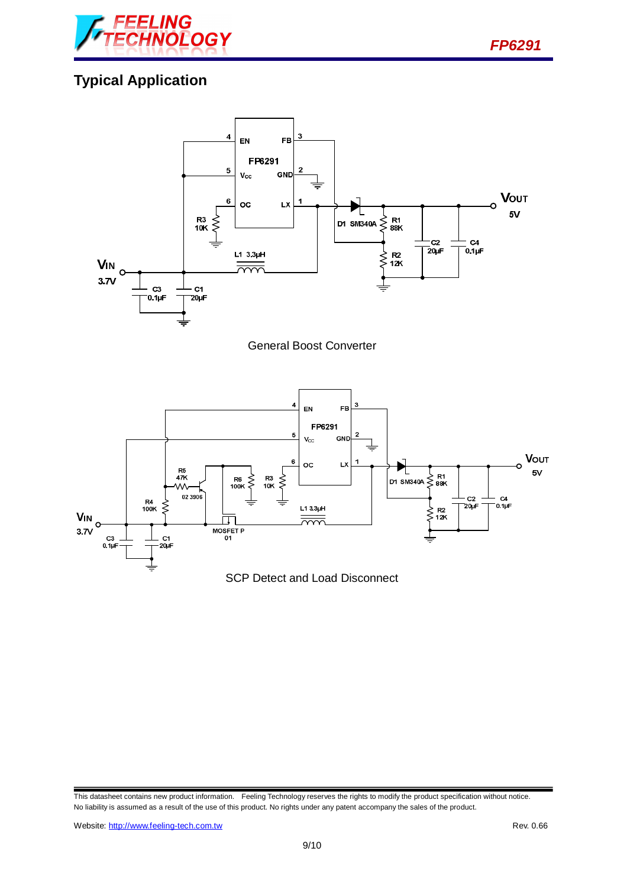

# **Typical Application**